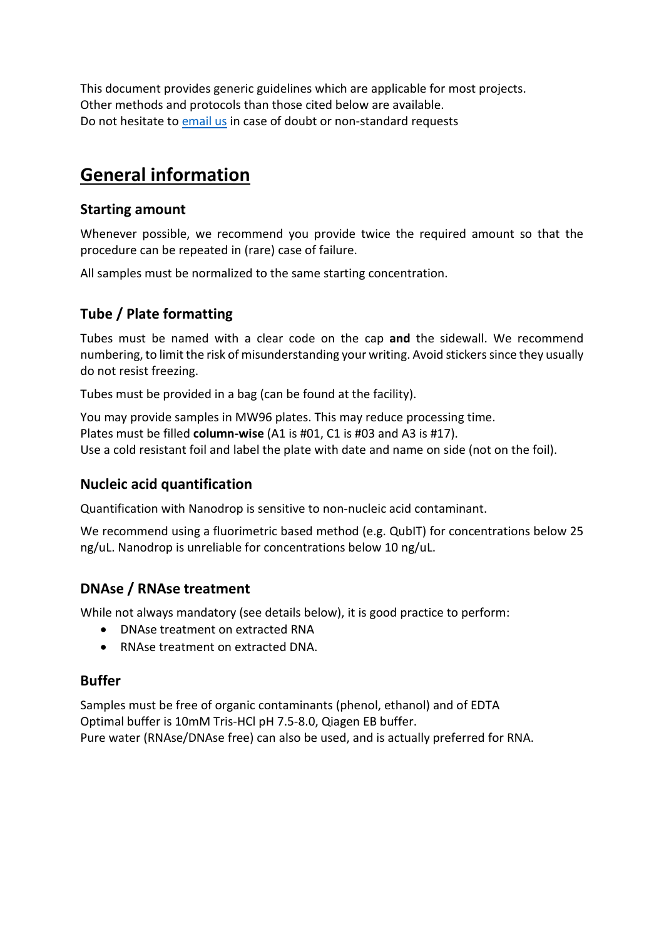This document provides generic guidelines which are applicable for most projects. Other methods and protocols than those cited below are available. Do not hesitate to [email us](mailto:contactGTF@unil.ch) in case of doubt or non-standard requests

# **General information**

## **Starting amount**

Whenever possible, we recommend you provide twice the required amount so that the procedure can be repeated in (rare) case of failure.

All samples must be normalized to the same starting concentration.

## **Tube / Plate formatting**

Tubes must be named with a clear code on the cap **and** the sidewall. We recommend numbering, to limit the risk of misunderstanding your writing. Avoid stickers since they usually do not resist freezing.

Tubes must be provided in a bag (can be found at the facility).

You may provide samples in MW96 plates. This may reduce processing time. Plates must be filled **column-wise** (A1 is #01, C1 is #03 and A3 is #17). Use a cold resistant foil and label the plate with date and name on side (not on the foil).

## **Nucleic acid quantification**

Quantification with Nanodrop is sensitive to non-nucleic acid contaminant.

We recommend using a fluorimetric based method (e.g. QubIT) for concentrations below 25 ng/uL. Nanodrop is unreliable for concentrations below 10 ng/uL.

## **DNAse / RNAse treatment**

While not always mandatory (see details below), it is good practice to perform:

- DNAse treatment on extracted RNA
- RNAse treatment on extracted DNA.

#### **Buffer**

Samples must be free of organic contaminants (phenol, ethanol) and of EDTA Optimal buffer is 10mM Tris-HCl pH 7.5-8.0, Qiagen EB buffer. Pure water (RNAse/DNAse free) can also be used, and is actually preferred for RNA.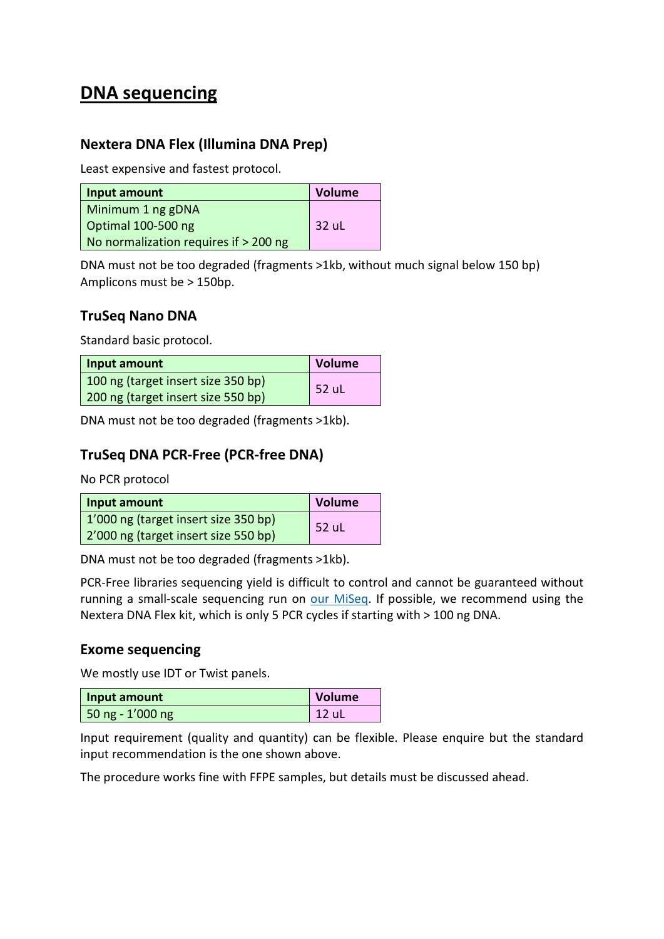# **DNA sequencing**

## **Nextera DNA Flex (Illumina DNA Prep)**

Least expensive and fastest protocol.

| Input amount                          | Volume  |
|---------------------------------------|---------|
| Minimum 1 ng gDNA                     |         |
| Optimal 100-500 ng                    | - 32 uL |
| No normalization requires if > 200 ng |         |

DNA must not be too degraded (fragments >1kb, without much signal below 150 bp) Amplicons must be > 150bp.

## **TruSeq Nano DNA**

Standard basic protocol.

| Input amount                       | <b>Volume</b> |
|------------------------------------|---------------|
| 100 ng (target insert size 350 bp) | 52 uL         |
| 200 ng (target insert size 550 bp) |               |

DNA must not be too degraded (fragments >1kb).

## **TruSeq DNA PCR-Free (PCR-free DNA)**

No PCR protocol

| Input amount                         | Volume |
|--------------------------------------|--------|
| 1'000 ng (target insert size 350 bp) | 52 uL  |
| 2'000 ng (target insert size 550 bp) |        |

DNA must not be too degraded (fragments >1kb).

PCR-Free libraries sequencing yield is difficult to control and cannot be guaranteed without running a small-scale sequencing run on [our MiSeq.](https://wp.unil.ch/gtf/illumina-sequencers/#MISEQ) If possible, we recommend using the Nextera DNA Flex kit, which is only 5 PCR cycles if starting with > 100 ng DNA.

## **Exome sequencing**

We mostly use IDT or Twist panels.

| Input amount                     | Volume |
|----------------------------------|--------|
| $\vert$ 50 ng - 1'000 ng $\vert$ | 12 ul  |

Input requirement (quality and quantity) can be flexible. Please enquire but the standard input recommendation is the one shown above.

The procedure works fine with FFPE samples, but details must be discussed ahead.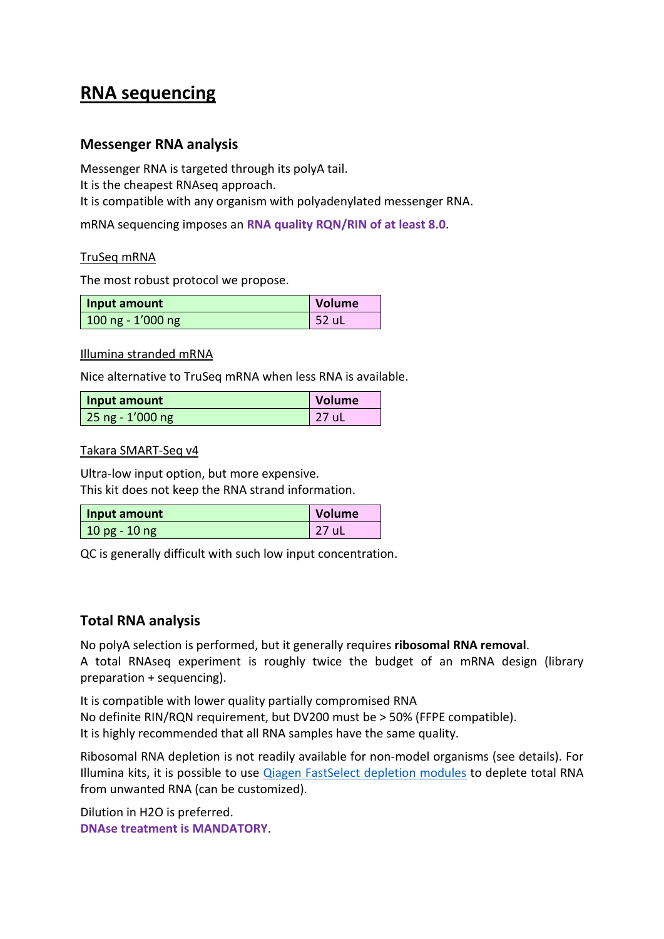# **RNA sequencing**

### **Messenger RNA analysis**

Messenger RNA is targeted through its polyA tail. It is the cheapest RNAseq approach. It is compatible with any organism with polyadenylated messenger RNA.

mRNA sequencing imposes an **RNA quality RQN/RIN of at least 8.0**.

#### TruSeq mRNA

The most robust protocol we propose.

| Input amount        | Volume |
|---------------------|--------|
| $100$ ng - 1'000 ng | 52 uL  |

#### Illumina stranded mRNA

Nice alternative to TruSeq mRNA when less RNA is available.

| Input amount       | Volume   |
|--------------------|----------|
| $25$ ng - 1'000 ng | $ 27$ uL |

#### Takara SMART-Seq v4

Ultra-low input option, but more expensive. This kit does not keep the RNA strand information.

| Input amount      | Volume         |
|-------------------|----------------|
| $10$ pg - $10$ ng | $\sqrt{27}$ uL |

QC is generally difficult with such low input concentration.

## **Total RNA analysis**

No polyA selection is performed, but it generally requires **ribosomal RNA removal**. A total RNAseq experiment is roughly twice the budget of an mRNA design (library preparation + sequencing).

It is compatible with lower quality partially compromised RNA No definite RIN/RQN requirement, but DV200 must be > 50% (FFPE compatible). It is highly recommended that all RNA samples have the same quality.

Ribosomal RNA depletion is not readily available for non-model organisms (see details). For Illumina kits, it is possible to use [Qiagen FastSelect depletion modules](https://www.qiagen.com/us/product-categories/discovery-and-translational-research/next-generation-sequencing/rna-sequencing/ribosomal-rna-and-globin-mrna-removal/) to deplete total RNA from unwanted RNA (can be customized).

Dilution in H2O is preferred. **DNAse treatment is MANDATORY**.